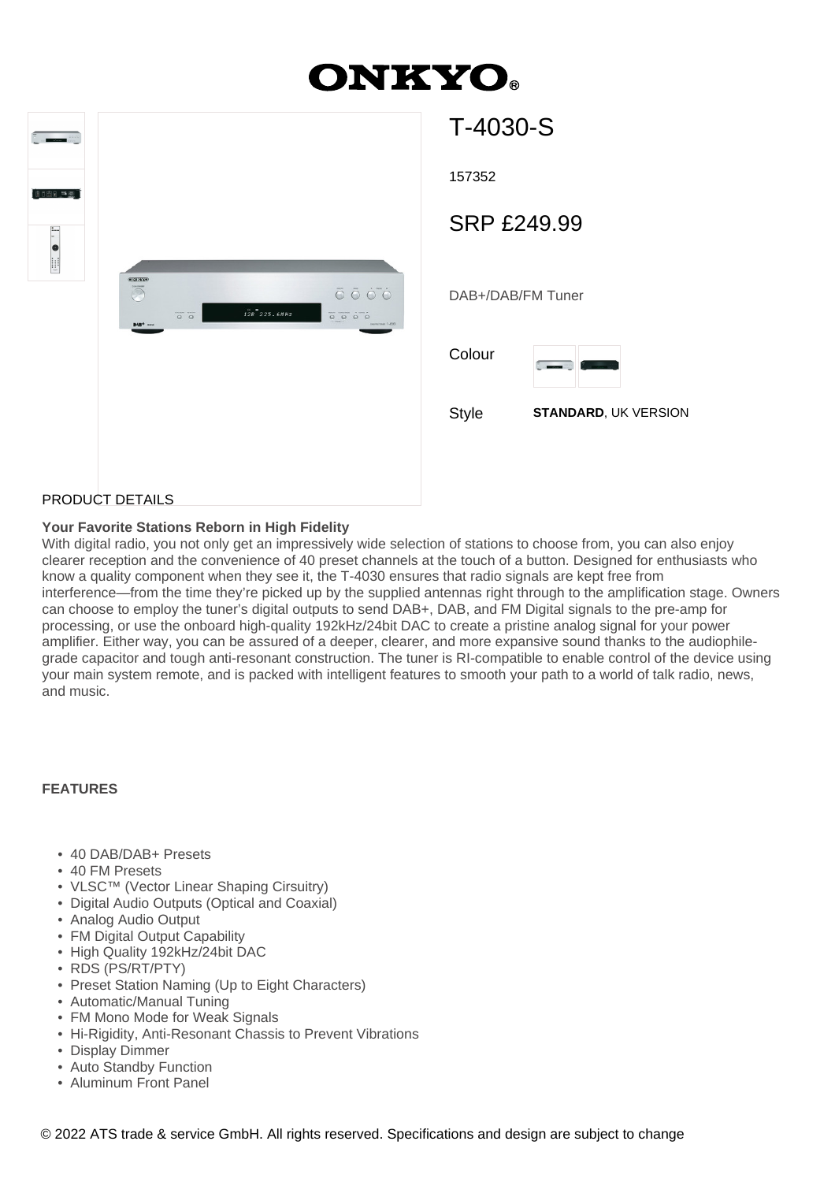## **ONKYO.**

| $\frac{1}{2}$ |                                                                                                                                                                                                                                                                                                                                                                                                                                                                                                                      | $T-4$      |
|---------------|----------------------------------------------------------------------------------------------------------------------------------------------------------------------------------------------------------------------------------------------------------------------------------------------------------------------------------------------------------------------------------------------------------------------------------------------------------------------------------------------------------------------|------------|
| 10.618 四周     |                                                                                                                                                                                                                                                                                                                                                                                                                                                                                                                      | 1573       |
|               |                                                                                                                                                                                                                                                                                                                                                                                                                                                                                                                      | <b>SRI</b> |
|               | <b>ONISTO</b><br>$\bar{\circ} \; \bar{\circ} \; \dot{\circ} \; \bar{\circ}$<br>p<br>$1\bar{2}B$ 225.68 Hz<br>$\begin{picture}(20,20) \put(0,0){\line(1,0){10}} \put(15,0){\line(1,0){10}} \put(15,0){\line(1,0){10}} \put(15,0){\line(1,0){10}} \put(15,0){\line(1,0){10}} \put(15,0){\line(1,0){10}} \put(15,0){\line(1,0){10}} \put(15,0){\line(1,0){10}} \put(15,0){\line(1,0){10}} \put(15,0){\line(1,0){10}} \put(15,0){\line(1,0){10}} \put(15,0){\line(1$<br><b>BMS<sup>+</sup></b> nos<br>Distriction T-4000 | DAB+       |
|               |                                                                                                                                                                                                                                                                                                                                                                                                                                                                                                                      | Color      |
|               |                                                                                                                                                                                                                                                                                                                                                                                                                                                                                                                      | Style      |
|               |                                                                                                                                                                                                                                                                                                                                                                                                                                                                                                                      |            |

# T-4030-S 52 DAB+/DAB/FM Tuner P £249.99 ur **STANDARD, UK VERSION**

#### PRODUCT DETAILS

#### **Your Favorite Stations Reborn in High Fidelity**

With digital radio, you not only get an impressively wide selection of stations to choose from, you can also enjoy clearer reception and the convenience of 40 preset channels at the touch of a button. Designed for enthusiasts who know a quality component when they see it, the T-4030 ensures that radio signals are kept free from interference—from the time they're picked up by the supplied antennas right through to the amplification stage. Owners can choose to employ the tuner's digital outputs to send DAB+, DAB, and FM Digital signals to the pre-amp for processing, or use the onboard high-quality 192kHz/24bit DAC to create a pristine analog signal for your power amplifier. Either way, you can be assured of a deeper, clearer, and more expansive sound thanks to the audiophilegrade capacitor and tough anti-resonant construction. The tuner is RI-compatible to enable control of the device using your main system remote, and is packed with intelligent features to smooth your path to a world of talk radio, news, and music.

#### **FEATURES**

- 40 DAB/DAB+ Presets
- 40 FM Presets
- VLSC™ (Vector Linear Shaping Cirsuitry)
- Digital Audio Outputs (Optical and Coaxial)
- Analog Audio Output
- FM Digital Output Capability
- High Quality 192kHz/24bit DAC
- RDS (PS/RT/PTY)
- Preset Station Naming (Up to Eight Characters)
- Automatic/Manual Tuning
- FM Mono Mode for Weak Signals
- Hi-Rigidity, Anti-Resonant Chassis to Prevent Vibrations
- Display Dimmer
- Auto Standby Function
- Aluminum Front Panel